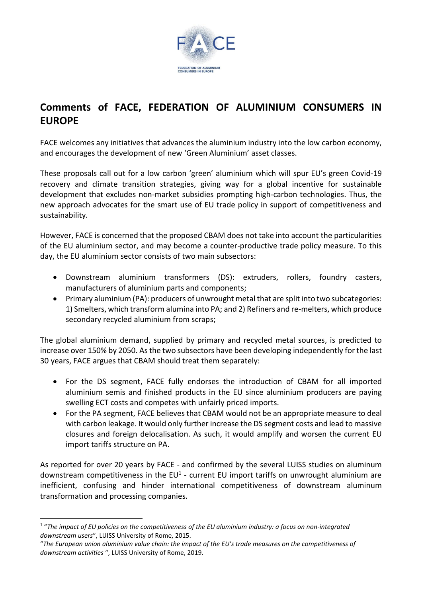

## **Comments of FACE, FEDERATION OF ALUMINIUM CONSUMERS IN EUROPE**

FACE welcomes any initiatives that advances the aluminium industry into the low carbon economy, and encourages the development of new 'Green Aluminium' asset classes.

These proposals call out for a low carbon 'green' aluminium which will spur EU's green Covid-19 recovery and climate transition strategies, giving way for a global incentive for sustainable development that excludes non-market subsidies prompting high-carbon technologies. Thus, the new approach advocates for the smart use of EU trade policy in support of competitiveness and sustainability.

However, FACE is concerned that the proposed CBAM does not take into account the particularities of the EU aluminium sector, and may become a counter-productive trade policy measure. To this day, the EU aluminium sector consists of two main subsectors:

- Downstream aluminium transformers (DS): extruders, rollers, foundry casters, manufacturers of aluminium parts and components;
- Primary aluminium (PA): producers of unwrought metal that are split into two subcategories: 1) Smelters, which transform alumina into PA; and 2) Refiners and re-melters, which produce secondary recycled aluminium from scraps;

The global aluminium demand, supplied by primary and recycled metal sources, is predicted to increase over 150% by 2050. As the two subsectors have been developing independently for the last 30 years, FACE argues that CBAM should treat them separately:

- For the DS segment, FACE fully endorses the introduction of CBAM for all imported aluminium semis and finished products in the EU since aluminium producers are paying swelling ECT costs and competes with unfairly priced imports.
- For the PA segment, FACE believes that CBAM would not be an appropriate measure to deal with carbon leakage. It would only further increase the DS segment costs and lead to massive closures and foreign delocalisation. As such, it would amplify and worsen the current EU import tariffs structure on PA.

As reported for over 20 years by FACE - and confirmed by the several LUISS studies on aluminum downstream competitiveness in the EU<sup>1</sup> - current EU import tariffs on unwrought aluminium are inefficient, confusing and hinder international competitiveness of downstream aluminum transformation and processing companies.

 $^{\rm 1}$  "The impact of EU policies on the competitiveness of the EU aluminium industry: a focus on non-integrated *downstream users*", LUISS University of Rome, 2015.

<sup>&</sup>quot;The European union aluminium value chain: the impact of the EU's trade measures on the competitiveness of *downstream activities* ", LUISS University of Rome, 2019.